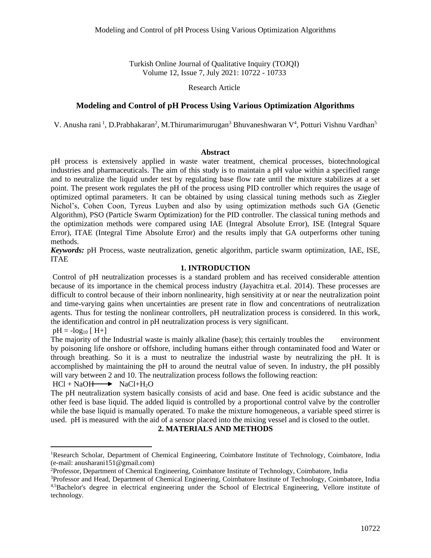Turkish Online Journal of Qualitative Inquiry (TOJQI) Volume 12, Issue 7, July 2021: 10722 - 10733

#### Research Article

## **Modeling and Control of pH Process Using Various Optimization Algorithms**

V. Anusha rani<sup>1</sup>, D.Prabhakaran<sup>2</sup>, M.Thirumarimurugan<sup>3</sup> Bhuvaneshwaran V<sup>4</sup>, Potturi Vishnu Vardhan<sup>5</sup>

#### **Abstract**

pH process is extensively applied in waste water treatment, chemical processes, biotechnological industries and pharmaceuticals. The aim of this study is to maintain a pH value within a specified range and to neutralize the liquid under test by regulating base flow rate until the mixture stabilizes at a set point. The present work regulates the pH of the process using PID controller which requires the usage of optimized optimal parameters. It can be obtained by using classical tuning methods such as Ziegler Nichol's, Cohen Coon, Tyreus Luyben and also by using optimization methods such GA (Genetic Algorithm), PSO (Particle Swarm Optimization) for the PID controller. The classical tuning methods and the optimization methods were compared using IAE (Integral Absolute Error), ISE (Integral Square Error), ITAE (Integral Time Absolute Error) and the results imply that GA outperforms other tuning methods.

*Keywords:* pH Process, waste neutralization, genetic algorithm, particle swarm optimization, IAE, ISE, ITAE

#### **1. INTRODUCTION**

Control of pH neutralization processes is a standard problem and has received considerable attention because of its importance in the chemical process industry (Jayachitra et.al. 2014). These processes are difficult to control because of their inborn nonlinearity, high sensitivity at or near the neutralization point and time-varying gains when uncertainties are present rate in flow and concentrations of neutralization agents. Thus for testing the nonlinear controllers, pH neutralization process is considered. In this work, the identification and control in pH neutralization process is very significant.

 $pH = -log_{10} [H+]$ 

The majority of the Industrial waste is mainly alkaline (base); this certainly troubles the environment by poisoning life onshore or offshore, including humans either through contaminated food and Water or through breathing. So it is a must to neutralize the industrial waste by neutralizing the pH. It is accomplished by maintaining the pH to around the neutral value of seven. In industry, the pH possibly will vary between 2 and 10. The neutralization process follows the following reaction:

## $HCl + NaOH \longrightarrow NaCl + H_2O$

The pH neutralization system basically consists of acid and base. One feed is acidic substance and the other feed is base liquid. The added liquid is controlled by a proportional control valve by the controller while the base liquid is manually operated. To make the mixture homogeneous, a variable speed stirrer is used. pH is measured with the aid of a sensor placed into the mixing vessel and is closed to the outlet.

#### **2. MATERIALS AND METHODS**

<sup>&</sup>lt;sup>1</sup>Research Scholar, Department of Chemical Engineering, Coimbatore Institute of Technology, Coimbatore, India (e-mail: anusharani151@gmail.com)

<sup>2</sup>Professor, Department of Chemical Engineering, Coimbatore Institute of Technology, Coimbatore, India

<sup>&</sup>lt;sup>3</sup>Professor and Head, Department of Chemical Engineering, Coimbatore Institute of Technology, Coimbatore, India 4,5Bachelor's degree in electrical engineering under the School of Electrical Engineering, Vellore institute of technology.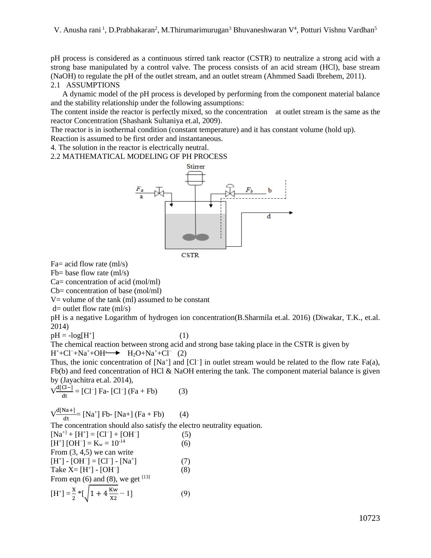pH process is considered as a continuous stirred tank reactor (CSTR) to neutralize a strong acid with a strong base manipulated by a control valve. The process consists of an acid stream (HCl), base stream (NaOH) to regulate the pH of the outlet stream, and an outlet stream (Ahmmed Saadi Ibrehem, 2011). 2.1 ASSUMPTIONS

 A dynamic model of the pH process is developed by performing from the component material balance and the stability relationship under the following assumptions:

The content inside the reactor is perfectly mixed, so the concentration at outlet stream is the same as the reactor Concentration (Shashank Sultaniya et.al, 2009).

The reactor is in isothermal condition (constant temperature) and it has constant volume (hold up).

Reaction is assumed to be first order and instantaneous.

4. The solution in the reactor is electrically neutral.

2.2 MATHEMATICAL MODELING OF PH PROCESS



**CSTR** 

Fa= acid flow rate (ml/s)

Fb= base flow rate  ${\rm (ml/s)}$ 

Ca= concentration of acid (mol/ml)

Cb= concentration of base (mol/ml)

 $V =$  volume of the tank (ml) assumed to be constant

 $d=$  outlet flow rate (ml/s)

pH is a negative Logarithm of hydrogen ion concentration(B.Sharmila et.al. 2016) (Diwakar, T.K., et.al. 2014)

$$
pH = -log[H^\text{+}
$$

 $\qquad \qquad$  (1)

The chemical reaction between strong acid and strong base taking place in the CSTR is given by  $H^+ + Cl^- + Na^+ + OH^- \longrightarrow H_2O + Na^+ + Cl^- (2)$ 

Thus, the ionic concentration of  $[Na^+]$  and  $[Cl^-]$  in outlet stream would be related to the flow rate Fa(a), Fb(b) and feed concentration of HCl & NaOH entering the tank. The component material balance is given by (Jayachitra et.al. 2014),

$$
V \frac{d[C]-]}{dt} = [Cl^-] Fa - [Cl^-] (Fa + Fb)
$$
 (3)

 $V \frac{d[Na+]}{dt}$  = [Na<sup>+</sup>] Fb- [Na+] (Fa + Fb) (4)

The concentration should also satisfy the electro neutrality equation.

$$
[Na^{+1} + [H^{+}] = [Cl^{-}] + [OH^{-}]
$$
\n(5)  
\n
$$
[H^{+}] [OH^{-}] = K_w = 10^{-14}
$$
\n(6)  
\nFrom (3, 4,5) we can write  
\n
$$
[H^{+}] - [OH^{-}] = [Cl^{-}] - [Na^{+}]
$$
\n(7)  
\nTake X= [H^{+}] - [OH^{-}]\n(8)  
\nFrom eqn (6) and (8), we get <sup>[13]</sup>  
\n
$$
[H^{+}] = \frac{x}{2} * [\sqrt{1 + 4 \frac{Kw}{x2}} - 1]
$$
\n(9)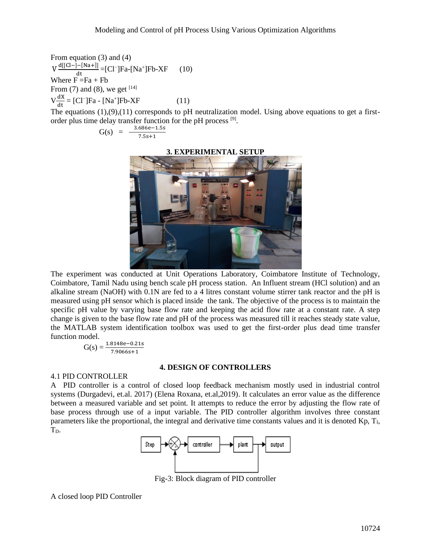From equation (3) and (4)  $V \frac{d[[Cl-]-[Na+]]}{dt} = [Cl^-]Fa-[Na^+]Fb-XF$  (10) Where  $F = Fa + Fb$ From (7) and (8), we get  $[14]$  $V \frac{dX}{dt} = [Cl^-]Fa - [Na^+]Fb - XF$  (11)

The equations (1),(9),(11) corresponds to pH neutralization model. Using above equations to get a firstorder plus time delay transfer function for the pH process [9].

$$
G(s) = \frac{3.686e - 1.5s}{7.5s + 1}
$$

#### **3. EXPERIMENTAL SETUP**



The experiment was conducted at Unit Operations Laboratory, Coimbatore Institute of Technology, Coimbatore, Tamil Nadu using bench scale pH process station. An Influent stream (HCl solution) and an alkaline stream (NaOH) with 0.1N are fed to a 4 litres constant volume stirrer tank reactor and the pH is measured using pH sensor which is placed inside the tank. The objective of the process is to maintain the specific pH value by varying base flow rate and keeping the acid flow rate at a constant rate. A step change is given to the base flow rate and pH of the process was measured till it reaches steady state value, the MATLAB system identification toolbox was used to get the first-order plus dead time transfer function model.

$$
G(s) = \frac{1.8148e - 0.21s}{7.9066s + 1}
$$

#### **4. DESIGN OF CONTROLLERS**

## 4.1 PID CONTROLLER

A PID controller is a control of closed loop feedback mechanism mostly used in industrial control systems (Durgadevi, et.al. 2017) (Elena Roxana, et.al,2019). It calculates an error value as the difference between a measured variable and set point. It attempts to reduce the error by adjusting the flow rate of base process through use of a input variable. The PID controller algorithm involves three constant parameters like the proportional, the integral and derivative time constants values and it is denoted Kp, TI, T<sub>D</sub>.



Fig-3: Block diagram of PID controller

A closed loop PID Controller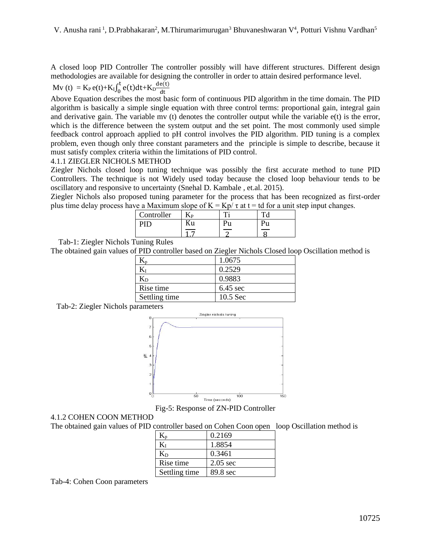A closed loop PID Controller The controller possibly will have different structures. Different design methodologies are available for designing the controller in order to attain desired performance level.

 $Mv(t) = K_P e(t) + K_I \int_0^t e(t) dt + K_D \frac{de(t)}{dt}$ dt

Above Equation describes the most basic form of continuous PID algorithm in the time domain. The PID algorithm is basically a simple single equation with three control terms: proportional gain, integral gain and derivative gain. The variable mv (t) denotes the controller output while the variable e(t) is the error, which is the difference between the system output and the set point. The most commonly used simple feedback control approach applied to pH control involves the PID algorithm. PID tuning is a complex problem, even though only three constant parameters and the principle is simple to describe, because it must satisfy complex criteria within the limitations of PID control.

## 4.1.1 ZIEGLER NICHOLS METHOD

Ziegler Nichols closed loop tuning technique was possibly the first accurate method to tune PID Controllers. The technique is not Widely used today because the closed loop behaviour tends to be oscillatory and responsive to uncertainty (Snehal D. Kambale , et.al. 2015).

Ziegler Nichols also proposed tuning parameter for the process that has been recognized as first-order plus time delay process have a Maximum slope of  $K = Kp/\tau$  at  $t = td$  for a unit step input changes.

| Controller | <b>ND</b> |   |  |
|------------|-----------|---|--|
|            |           | u |  |
|            |           |   |  |

Tab-1: Ziegler Nichols Tuning Rules

The obtained gain values of PID controller based on Ziegler Nichols Closed loop Oscillation method is

|               | 1.0675             |
|---------------|--------------------|
|               | 0.2529             |
| $\rm K_D$     | 0.9883             |
| Rise time     | $6.45 \text{ sec}$ |
| Settling time | $10.5$ Sec         |

Tab-2: Ziegler Nichols parameters



Fig-5: Response of ZN-PID Controller

# 4.1.2 COHEN COON METHOD

The obtained gain values of PID controller based on Cohen Coon open loop Oscillation method is

|               | 0.2169     |
|---------------|------------|
| Kт            | 1.8854     |
| $\rm K_D$     | 0.3461     |
| Rise time     | $2.05$ sec |
| Settling time | 89.8 sec   |

Tab-4: Cohen Coon parameters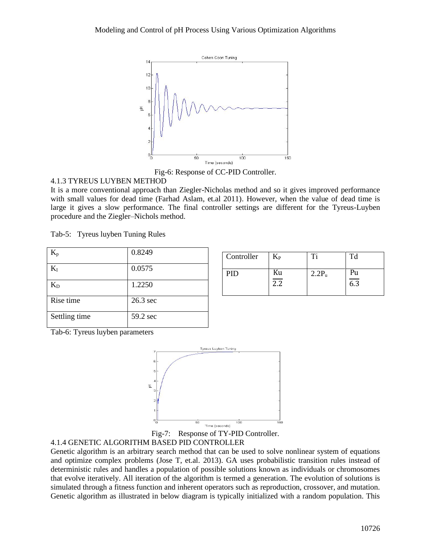

Fig-6: Response of CC-PID Controller.

# 4.1.3 TYREUS LUYBEN METHOD

It is a more conventional approach than Ziegler-Nicholas method and so it gives improved performance with small values for dead time (Farhad Aslam, et.al 2011). However, when the value of dead time is large it gives a slow performance. The final controller settings are different for the Tyreus-Luyben procedure and the Ziegler–Nichols method.

Tab-5: Tyreus luyben Tuning Rules

| $\rm K_p$     | 0.8249   |
|---------------|----------|
| $K_I$         | 0.0575   |
| $K_D$         | 1.2250   |
| Rise time     | 26.3 sec |
| Settling time | 59.2 sec |

| Controller | $\rm K_{P}$                    | ፐ፡       | Td        |
|------------|--------------------------------|----------|-----------|
| PID        | Ku<br>$\overline{\phantom{a}}$ | $2.2P_u$ | Pu<br>6.3 |

Tab-6: Tyreus luyben parameters







Genetic algorithm is an arbitrary search method that can be used to solve nonlinear system of equations and optimize complex problems (Jose T, et.al. 2013). GA uses probabilistic transition rules instead of deterministic rules and handles a population of possible solutions known as individuals or chromosomes that evolve iteratively. All iteration of the algorithm is termed a generation. The evolution of solutions is simulated through a fitness function and inherent operators such as reproduction, crossover, and mutation. Genetic algorithm as illustrated in below diagram is typically initialized with a random population. This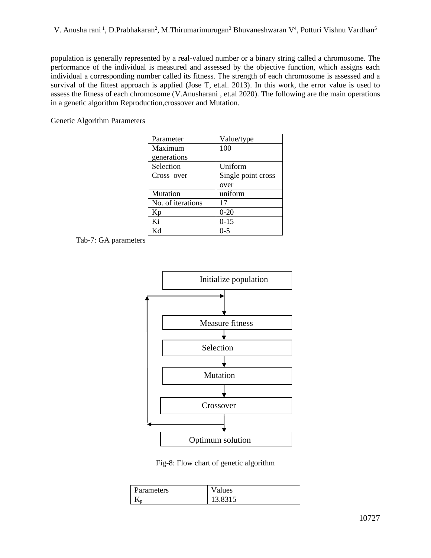population is generally represented by a real-valued number or a binary string called a chromosome. The performance of the individual is measured and assessed by the objective function, which assigns each individual a corresponding number called its fitness. The strength of each chromosome is assessed and a survival of the fittest approach is applied (Jose T, et.al. 2013). In this work, the error value is used to assess the fitness of each chromosome (V.Anusharani , et.al 2020). The following are the main operations in a genetic algorithm Reproduction,crossover and Mutation.

Genetic Algorithm Parameters

| Value/type         |
|--------------------|
| 100                |
|                    |
| Uniform            |
| Single point cross |
| over               |
| uniform            |
| 17                 |
| $0 - 20$           |
| $0 - 15$           |
| Ი-5                |
|                    |

Tab-7: GA parameters



Fig-8: Flow chart of genetic algorithm

| <b>Parameters</b> | lues |
|-------------------|------|
|                   |      |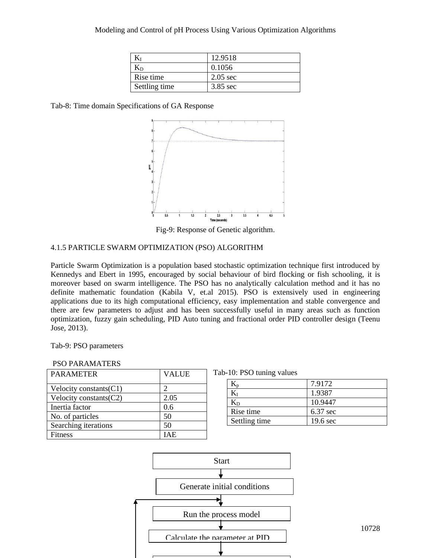|               | 12.9518            |
|---------------|--------------------|
| Kр            | 0.1056             |
| Rise time     | $2.05 \text{ sec}$ |
| Settling time | $3.85$ sec         |

Tab-8: Time domain Specifications of GA Response



Fig-9: Response of Genetic algorithm.

## 4.1.5 PARTICLE SWARM OPTIMIZATION (PSO) ALGORITHM

Particle Swarm Optimization is a population based stochastic optimization technique first introduced by Kennedys and Ebert in 1995, encouraged by social behaviour of bird flocking or fish schooling, it is moreover based on swarm intelligence. The PSO has no analytically calculation method and it has no definite mathematic foundation (Kabila V, et.al 2015). PSO is extensively used in engineering applications due to its high computational efficiency, easy implementation and stable convergence and there are few parameters to adjust and has been successfully useful in many areas such as function optimization, fuzzy gain scheduling, PID Auto tuning and fractional order PID controller design (Teenu Jose, 2013).

Tab-9: PSO parameters

| PSO PARAMATERS |  |
|----------------|--|
|----------------|--|

| <b>PARAMETER</b>          | <b>VALUE</b> | Tab-10: PSO tuning values |
|---------------------------|--------------|---------------------------|
| Velocity constants $(C1)$ |              | $K_{p}$                   |
| Velocity constants $(C2)$ | 2.05         | $K_I$<br>$K_D$            |
| Inertia factor            | 0.6          | Rise time                 |
| No. of particles          | 50           |                           |
| Searching iterations      | 50           | Settling time             |
| Fitness                   | <b>IAE</b>   |                           |

| Tab-10: PSO tuning values |  |  |  |
|---------------------------|--|--|--|
|---------------------------|--|--|--|

|               | 7.9172             |
|---------------|--------------------|
|               | 1.9387             |
| $\rm K_D$     | 10.9447            |
| Rise time     | 6.37 sec           |
| Settling time | $19.6 \text{ sec}$ |



10728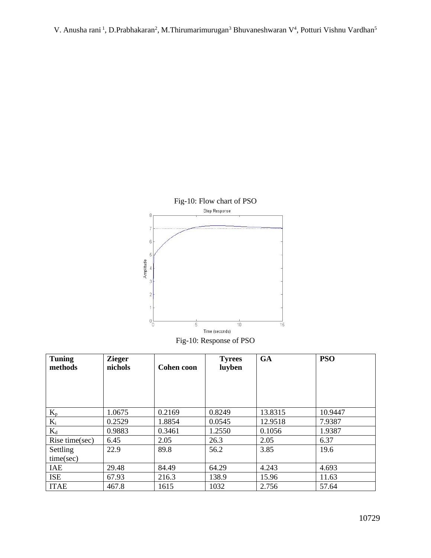

Fig-10: Response of PSO

| <b>Tuning</b><br>methods | <b>Zieger</b><br>nichols | <b>Cohen coon</b> | <b>Tyrees</b><br>luyben | <b>GA</b> | <b>PSO</b> |
|--------------------------|--------------------------|-------------------|-------------------------|-----------|------------|
|                          |                          |                   |                         |           |            |
|                          |                          |                   |                         |           |            |
| $K_{p}$                  | 1.0675                   | 0.2169            | 0.8249                  | 13.8315   | 10.9447    |
| $K_i$                    | 0.2529                   | 1.8854            | 0.0545                  | 12.9518   | 7.9387     |
| $K_d$                    | 0.9883                   | 0.3461            | 1.2550                  | 0.1056    | 1.9387     |
| Rise time(sec)           | 6.45                     | 2.05              | 26.3                    | 2.05      | 6.37       |
| Settling                 | 22.9                     | 89.8              | 56.2                    | 3.85      | 19.6       |
| time(sec)                |                          |                   |                         |           |            |
| <b>IAE</b>               | 29.48                    | 84.49             | 64.29                   | 4.243     | 4.693      |
| <b>ISE</b>               | 67.93                    | 216.3             | 138.9                   | 15.96     | 11.63      |
| <b>ITAE</b>              | 467.8                    | 1615              | 1032                    | 2.756     | 57.64      |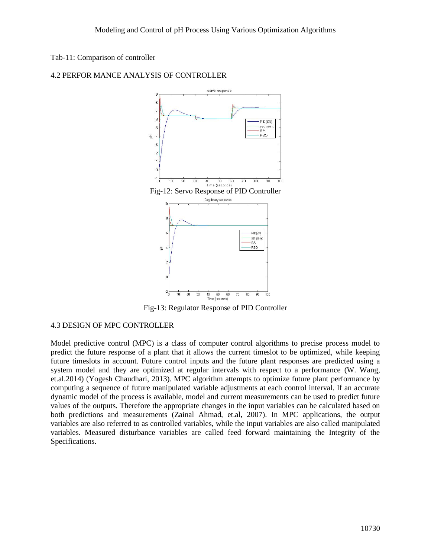## Tab-11: Comparison of controller



## 4.2 PERFOR MANCE ANALYSIS OF CONTROLLER

Fig-13: Regulator Response of PID Controller

# 4.3 DESIGN OF MPC CONTROLLER

Model predictive control (MPC) is a class of computer control algorithms to precise process model to predict the future response of a plant that it allows the current timeslot to be optimized, while keeping future timeslots in account. Future control inputs and the future plant responses are predicted using a system model and they are optimized at regular intervals with respect to a performance (W. Wang, et.al.2014) (Yogesh Chaudhari, 2013). MPC algorithm attempts to optimize future plant performance by computing a sequence of future manipulated variable adjustments at each control interval. If an accurate dynamic model of the process is available, model and current measurements can be used to predict future values of the outputs. Therefore the appropriate changes in the input variables can be calculated based on both predictions and measurements (Zainal Ahmad, et.al, 2007). In MPC applications, the output variables are also referred to as controlled variables, while the input variables are also called manipulated variables. Measured disturbance variables are called feed forward maintaining the Integrity of the Specifications.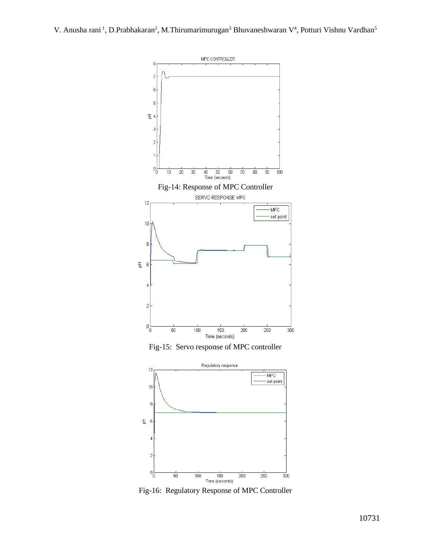

Fig-16: Regulatory Response of MPC Controller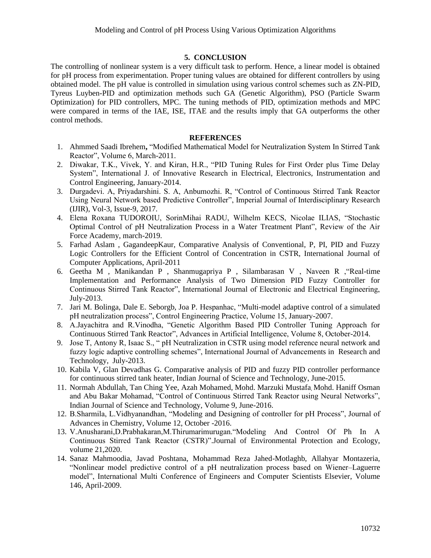## **5. CONCLUSION**

The controlling of nonlinear system is a very difficult task to perform. Hence, a linear model is obtained for pH process from experimentation. Proper tuning values are obtained for different controllers by using obtained model. The pH value is controlled in simulation using various control schemes such as ZN-PID, Tyreus Luyben-PID and optimization methods such GA (Genetic Algorithm), PSO (Particle Swarm Optimization) for PID controllers, MPC. The tuning methods of PID, optimization methods and MPC were compared in terms of the IAE, ISE, ITAE and the results imply that GA outperforms the other control methods.

#### **REFERENCES**

- 1. Ahmmed Saadi Ibrehem**,** "Modified Mathematical Model for Neutralization System In Stirred Tank Reactor", Volume 6, March-2011.
- 2. Diwakar, T.K., Vivek, Y. and Kiran, H.R., "PID Tuning Rules for First Order plus Time Delay System", International J. of Innovative Research in Electrical, Electronics, Instrumentation and Control Engineering, January-2014.
- 3. Durgadevi. A, Priyadarshini. S. A, Anbumozhi. R, "Control of Continuous Stirred Tank Reactor Using Neural Network based Predictive Controller", Imperial Journal of Interdisciplinary Research (IJIR), Vol-3, Issue-9, 2017.
- 4. Elena Roxana TUDOROIU, SorinMihai RADU, Wilhelm KECS, Nicolae ILIAS, "Stochastic Optimal Control of pH Neutralization Process in a Water Treatment Plant", Review of the Air Force Academy, march-2019.
- 5. Farhad Aslam , GagandeepKaur, Comparative Analysis of Conventional, P, PI, PID and Fuzzy Logic Controllers for the Efficient Control of Concentration in CSTR, International Journal of Computer Applications, April-2011
- 6. Geetha M , Manikandan P , Shanmugapriya P , Silambarasan V , Naveen R ,"Real-time Implementation and Performance Analysis of Two Dimension PID Fuzzy Controller for Continuous Stirred Tank Reactor", International Journal of Electronic and Electrical Engineering, July-2013.
- 7. Jari M. Bolinga, Dale E. Seborgb, Joa P. Hespanhac, "Multi-model adaptive control of a simulated pH neutralization process", Control Engineering Practice, Volume 15, January-2007.
- 8. A.Jayachitra and R.Vinodha, "Genetic Algorithm Based PID Controller Tuning Approach for Continuous Stirred Tank Reactor", Advances in Artificial Intelligence, Volume 8, October-2014.
- 9. Jose T, Antony R, Isaac S., " pH Neutralization in CSTR using model reference neural network and fuzzy logic adaptive controlling schemes", International Journal of Advancements in Research and Technology, July-2013.
- 10. Kabila V, Glan Devadhas G. Comparative analysis of PID and fuzzy PID controller performance for continuous stirred tank heater, Indian Journal of Science and Technology, June-2015.
- 11. Normah Abdullah, Tan Ching Yee, Azah Mohamed, Mohd. Marzuki Mustafa, Mohd. Haniff Osman and Abu Bakar Mohamad, "Control of Continuous Stirred Tank Reactor using Neural Networks", Indian Journal of Science and Technology, Volume 9, June-2016.
- 12. B.Sharmila, L.Vidhyanandhan, "Modeling and Designing of controller for pH Process", Journal of Advances in Chemistry, Volume 12, October -2016.
- 13. V.Anusharani,D.Prabhakaran,M.Thirumarimurugan."Modeling And Control Of Ph In A Continuous Stirred Tank Reactor (CSTR)".Journal of Environmental Protection and Ecology, volume 21,2020.
- 14. Sanaz Mahmoodia, Javad Poshtana, Mohammad Reza Jahed-Motlaghb, Allahyar Montazeria, "Nonlinear model predictive control of a pH neutralization process based on Wiener–Laguerre model", International Multi Conference of Engineers and Computer Scientists Elsevier, Volume 146, April-2009.